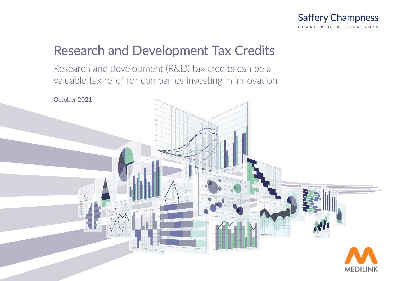

# Research and Development Tax Credits

Research and development (R&D) tax credits can be a valuable tax relief for companies investing in innovation

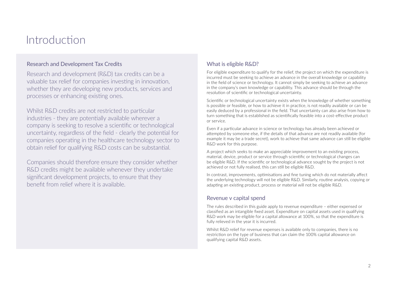## Introduction

## Research and Development Tax Credits

Research and development (R&D) tax credits can be a valuable tax relief for companies investing in innovation, whether they are developing new products, services and processes or enhancing existing ones.

Whilst R&D credits are not restricted to particular industries - they are potentially available wherever a company is seeking to resolve a scientific or technological uncertainty, regardless of the field - clearly the potential for companies operating in the healthcare technology sector to obtain relief for qualifying R&D costs can be substantial.

Companies should therefore ensure they consider whether R&D credits might be available whenever they undertake significant development projects, to ensure that they benefit from relief where it is available.

## What is eligible R&D?

For eligible expenditure to qualify for the relief, the project on which the expenditure is incurred must be seeking to achieve an advance in the overall knowledge or capability in the field of science or technology. It cannot simply be seeking to achieve an advance in the company's own knowledge or capability. This advance should be through the resolution of scientific or technological uncertainty.

Scientific or technological uncertainty exists when the knowledge of whether something is possible or feasible, or how to achieve it in practice, is not readily available or can be easily deduced by a professional in the field. That uncertainty can also arise from how to turn something that is established as scientifically feasible into a cost-effective product or service.

Even if a particular advance in science or technology has already been achieved or attempted by someone else, if the details of that advance are not readily available (for example it may be a trade secret), work to achieve that same advance can still be eligible R&D work for this purpose.

A project which seeks to make an appreciable improvement to an existing process, material, device, product or service through scientific or technological changes can be eligible R&D. If the scientific or technological advance sought by the project is not achieved or not fully realised, this can still be eligible R&D.

In contrast, improvements, optimisations and fine tuning which do not materially affect the underlying technology will not be eligible R&D. Similarly, routine analysis, copying or adapting an existing product, process or material will not be eligible R&D.

## Revenue v capital spend

The rules described in this guide apply to revenue expenditure – either expensed or classified as an intangible fixed asset. Expenditure on capital assets used in qualifying R&D work may be eligible for a capital allowance at 100%, so that the expenditure is fully relieved in the year it is incurred.

Whilst R&D relief for revenue expenses is available only to companies, there is no restriction on the type of business that can claim the 100% capital allowance on qualifying capital R&D assets.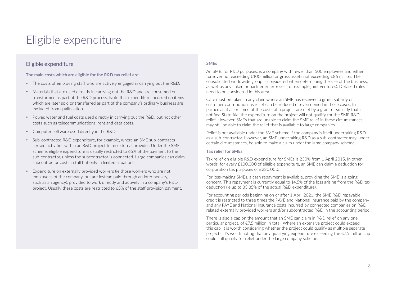## Eligible expenditure

### Eligible expenditure

**The main costs which are eligible for the R&D tax relief are:**

- The costs of employing staff who are actively engaged in carrying out the R&D.
- Materials that are used directly in carrying out the R&D and are consumed or transformed as part of the R&D process. Note that expenditure incurred on items which are later sold or transferred as part of the company's ordinary business are excluded from qualification.
- Power, water and fuel costs used directly in carrying out the  $R\&D$ , but not other costs such as telecommunications, rent and data costs.
- Computer software used directly in the R&D.
- $\bullet$  Sub-contracted R&D expenditure, for example, where an SME sub-contracts certain activities within an R&D project to an external provider. Under the SME scheme, eligible expenditure is usually restricted to 65% of the payment to the sub-contractor, unless the subcontractor is connected. Large companies can claim subcontractor costs in full but only in limited situations.
- y Expenditure on externally provided workers (ie those workers who are not employees of the company, but are instead paid through an intermediary, such as an agency), provided to work directly and actively in a company's R&D project. Usually these costs are restricted to 65% of the staff provision payment.

#### **SMEs**

An SME, for R&D purposes, is a company with fewer than 500 employees and either turnover not exceeding €100 million or gross assets not exceeding €86 million. The consolidated worldwide group is considered when determining the size of the business, as well as any linked or partner enterprises (for example joint ventures). Detailed rules need to be considered in this area.

Care must be taken in any claim where an SME has received a grant, subsidy or customer contribution, as relief can be reduced or even denied in those cases. In particular, if all or some of the costs of a project are met by a grant or subsidy that is notified State Aid, the expenditure on the project will not qualify for the SME R&D relief. However, SMEs that are unable to claim the SME relief in these circumstances may still be able to claim the relief that is available to large companies.

Relief is not available under the SME scheme if the company is itself undertaking R&D as a sub-contractor. However, an SME undertaking R&D as a sub-contractor may, under certain circumstances, be able to make a claim under the large company scheme.

#### **Tax relief for SMEs**

Tax relief on eligible R&D expenditure for SMEs is 230% from 1 April 2015. In other words, for every £100,000 of eligible expenditure, an SME can claim a deduction for corporation tax purposes of £230,000.

For loss-making SMEs, a cash repayment is available, providing the SME is a going concern. This repayment is currently equal to 14.5% of the loss arising from the R&D tax deduction (ie up to 33.35% of the actual R&D expenditure).

For accounting periods beginning on or after 1 April 2021, the SME R&D repayable credit is restricted to three times the PAYE and National Insurance paid by the company and any PAYE and National Insurance costs incurred by connected companies on R&D related externally provided workers and/or subcontracted R&D in the accounting period.

There is also a cap on the amount that an SME can claim in R&D relief on any one particular project, of €7.5 million in total. Where an extensive project could exceed this cap, it is worth considering whether the project could qualify as multiple separate projects. It's worth noting that any qualifying expenditure exceeding the  $\epsilon$ 7.5 million cap could still qualify for relief under the large company scheme.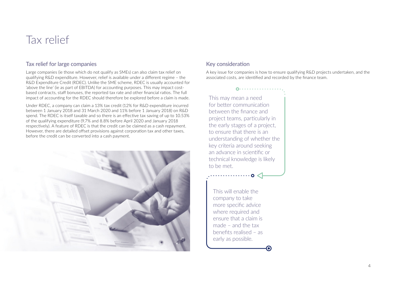## Tax relief

### Tax relief for large companies

Large companies (ie those which do not qualify as SMEs) can also claim tax relief on qualifying R&D expenditure. However, relief is available under a different regime – the R&D Expenditure Credit (RDEC). Unlike the SME scheme, RDEC is usually accounted for 'above the line' (ie as part of EBITDA) for accounting purposes. This may impact costbased contracts, staff bonuses, the reported tax rate and other financial ratios. The full impact of accounting for the RDEC should therefore be explored before a claim is made.

Under RDEC, a company can claim a 13% tax credit (12% for R&D expenditure incurred between 1 January 2018 and 31 March 2020 and 11% before 1 January 2018) on R&D spend. The RDEC is itself taxable and so there is an effective tax saving of up to 10.53% of the qualifying expenditure (9.7% and 8.8% before April 2020 and January 2018 respectively). A feature of RDEC is that the credit can be claimed as a cash repayment. However, there are detailed offset provisions against corporation tax and other taxes, before the credit can be converted into a cash payment.



## Key consideration

A key issue for companies is how to ensure qualifying R&D projects undertaken, and the associated costs, are identified and recorded by the finance team.

This may mean a need for better communication between the finance and project teams, particularly in the early stages of a project, to ensure that there is an understanding of whether the key criteria around seeking an advance in scientific or technical knowledge is likely to be met.

 $0.$ .............

This will enable the company to take more specific advice where required and ensure that a claim is made – and the tax benefits realised – as early as possible.

О

. . . . . . . . . . . . 0 <